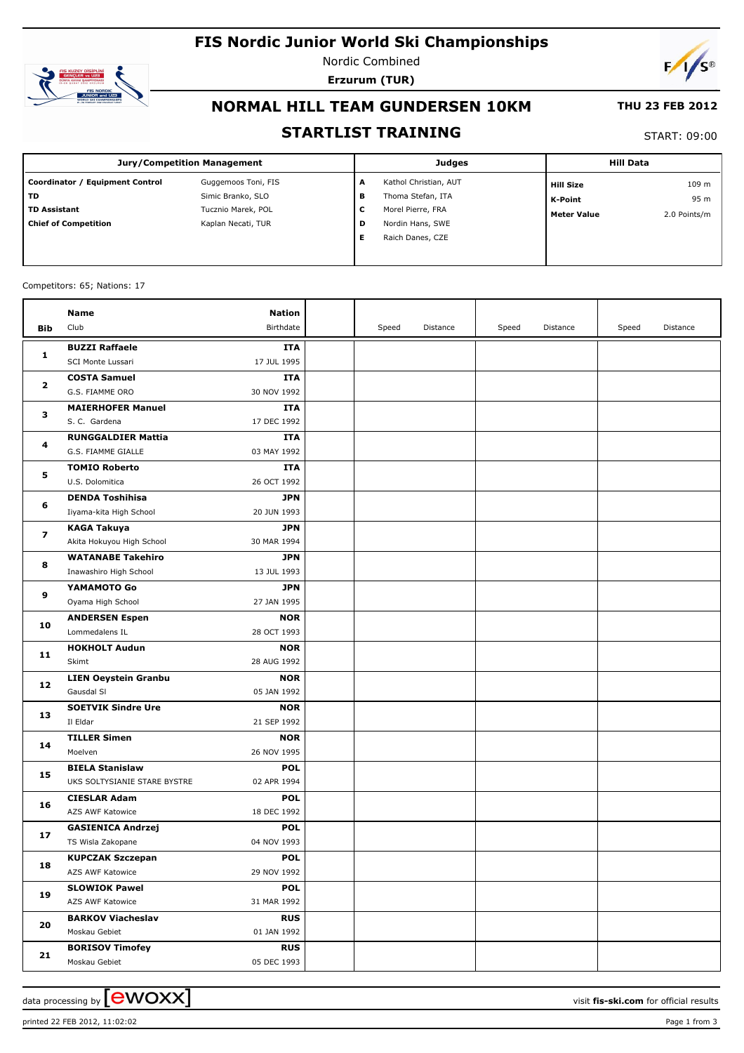# **FIS Nordic Junior World Ski Championships**



Nordic Combined **Erzurum (TUR)**



## **NORMAL HILL TEAM GUNDERSEN 10KM**

#### **THU 23 FEB 2012**

### **STARTLIST TRAINING**

#### START: 09:00

| Jury/Competition Management     |                     |   | <b>Judges</b>         | <b>Hill Data</b>   |              |  |
|---------------------------------|---------------------|---|-----------------------|--------------------|--------------|--|
| Coordinator / Equipment Control | Guggemoos Toni, FIS | A | Kathol Christian, AUT | <b>Hill Size</b>   | 109 m        |  |
| l TD                            | Simic Branko, SLO   | в | Thoma Stefan, ITA     | <b>K-Point</b>     | 95 m         |  |
| l TD Assistant                  | Tucznio Marek, POL  | c | Morel Pierre, FRA     | <b>Meter Value</b> | 2.0 Points/m |  |
| Chief of Competition            | Kaplan Necati, TUR  | D | Nordin Hans, SWE      |                    |              |  |
|                                 |                     | Е | Raich Danes, CZE      |                    |              |  |
|                                 |                     |   |                       |                    |              |  |

#### Competitors: 65; Nations: 17

|              | Name                                                   | Nation                    |       |          |       |          |       |          |
|--------------|--------------------------------------------------------|---------------------------|-------|----------|-------|----------|-------|----------|
| Bib          | Club                                                   | Birthdate                 | Speed | Distance | Speed | Distance | Speed | Distance |
|              | <b>BUZZI Raffaele</b>                                  | ITA                       |       |          |       |          |       |          |
| 1            | SCI Monte Lussari                                      | 17 JUL 1995               |       |          |       |          |       |          |
| $\mathbf{2}$ | <b>COSTA Samuel</b>                                    | ITA                       |       |          |       |          |       |          |
|              | G.S. FIAMME ORO                                        | 30 NOV 1992               |       |          |       |          |       |          |
| з            | <b>MAIERHOFER Manuel</b>                               | ITA                       |       |          |       |          |       |          |
|              | S. C. Gardena                                          | 17 DEC 1992               |       |          |       |          |       |          |
| 4            | <b>RUNGGALDIER Mattia</b>                              | <b>ITA</b>                |       |          |       |          |       |          |
|              | G.S. FIAMME GIALLE                                     | 03 MAY 1992               |       |          |       |          |       |          |
|              | <b>TOMIO Roberto</b>                                   | ITA                       |       |          |       |          |       |          |
| 5            | U.S. Dolomitica                                        | 26 OCT 1992               |       |          |       |          |       |          |
|              | <b>DENDA Toshihisa</b>                                 | <b>JPN</b>                |       |          |       |          |       |          |
| 6            | Iiyama-kita High School                                | 20 JUN 1993               |       |          |       |          |       |          |
| 7            | KAGA Takuya                                            | <b>JPN</b>                |       |          |       |          |       |          |
|              | Akita Hokuyou High School                              | 30 MAR 1994               |       |          |       |          |       |          |
| 8            | <b>WATANABE Takehiro</b>                               | <b>JPN</b>                |       |          |       |          |       |          |
|              | Inawashiro High School                                 | 13 JUL 1993               |       |          |       |          |       |          |
| 9            | YAMAMOTO Go                                            | <b>JPN</b>                |       |          |       |          |       |          |
|              | Oyama High School                                      | 27 JAN 1995               |       |          |       |          |       |          |
| 10           | <b>ANDERSEN Espen</b>                                  | <b>NOR</b>                |       |          |       |          |       |          |
|              | Lommedalens IL                                         | 28 OCT 1993               |       |          |       |          |       |          |
| 11           | <b>HOKHOLT Audun</b>                                   | <b>NOR</b>                |       |          |       |          |       |          |
|              | Skimt                                                  | 28 AUG 1992               |       |          |       |          |       |          |
| 12           | <b>LIEN Oeystein Granbu</b>                            | <b>NOR</b>                |       |          |       |          |       |          |
|              | Gausdal SI                                             | 05 JAN 1992               |       |          |       |          |       |          |
| 13           | <b>SOETVIK Sindre Ure</b>                              | <b>NOR</b>                |       |          |       |          |       |          |
|              | Il Eldar                                               | 21 SEP 1992               |       |          |       |          |       |          |
| 14           | <b>TILLER Simen</b>                                    | <b>NOR</b>                |       |          |       |          |       |          |
|              | Moelven                                                | 26 NOV 1995               |       |          |       |          |       |          |
| 15           | <b>BIELA Stanislaw</b><br>UKS SOLTYSIANIE STARE BYSTRE | <b>POL</b><br>02 APR 1994 |       |          |       |          |       |          |
|              | <b>CIESLAR Adam</b>                                    | <b>POL</b>                |       |          |       |          |       |          |
| 16           | AZS AWF Katowice                                       | 18 DEC 1992               |       |          |       |          |       |          |
|              | <b>GASIENICA Andrzej</b>                               | <b>POL</b>                |       |          |       |          |       |          |
| 17           | TS Wisla Zakopane                                      | 04 NOV 1993               |       |          |       |          |       |          |
|              | <b>KUPCZAK Szczepan</b>                                | <b>POL</b>                |       |          |       |          |       |          |
| 18           | AZS AWF Katowice                                       | 29 NOV 1992               |       |          |       |          |       |          |
|              | <b>SLOWIOK Pawel</b>                                   | <b>POL</b>                |       |          |       |          |       |          |
| 19           | AZS AWF Katowice                                       | 31 MAR 1992               |       |          |       |          |       |          |
|              | <b>BARKOV Viacheslav</b>                               | <b>RUS</b>                |       |          |       |          |       |          |
| 20           | Moskau Gebiet                                          | 01 JAN 1992               |       |          |       |          |       |          |
|              | <b>BORISOV Timofey</b>                                 | <b>RUS</b>                |       |          |       |          |       |          |
| 21           | Moskau Gebiet                                          | 05 DEC 1993               |       |          |       |          |       |          |

data processing by  $\boxed{\text{ewOX}}$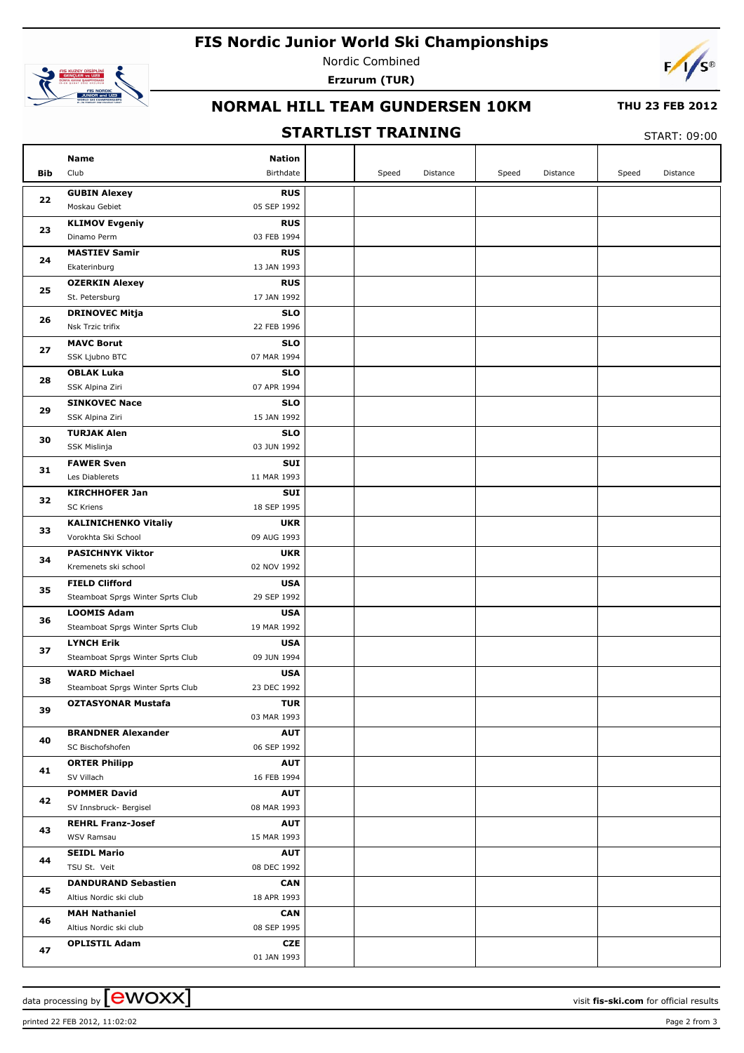## **FIS Nordic Junior World Ski Championships**



Nordic Combined **Erzurum (TUR)**



## **NORMAL HILL TEAM GUNDERSEN 10KM**

#### **THU 23 FEB 2012**

## **STARTLIST TRAINING**

 $CTANT: 00:00$ 

|            |                                               |                           | JIANILLJI INAININU |       |          |       |          | START: 09:00 |          |  |
|------------|-----------------------------------------------|---------------------------|--------------------|-------|----------|-------|----------|--------------|----------|--|
|            | <b>Name</b>                                   | <b>Nation</b>             |                    |       |          |       |          |              |          |  |
| <b>Bib</b> | Club                                          | Birthdate                 |                    | Speed | Distance | Speed | Distance | Speed        | Distance |  |
|            | <b>GUBIN Alexey</b>                           | <b>RUS</b>                |                    |       |          |       |          |              |          |  |
| 22         | Moskau Gebiet                                 | 05 SEP 1992               |                    |       |          |       |          |              |          |  |
|            | <b>KLIMOV Evgeniy</b>                         | <b>RUS</b>                |                    |       |          |       |          |              |          |  |
| 23         | Dinamo Perm                                   | 03 FEB 1994               |                    |       |          |       |          |              |          |  |
|            | <b>MASTIEV Samir</b>                          | <b>RUS</b>                |                    |       |          |       |          |              |          |  |
| 24         | Ekaterinburg                                  | 13 JAN 1993               |                    |       |          |       |          |              |          |  |
|            | <b>OZERKIN Alexey</b>                         | <b>RUS</b>                |                    |       |          |       |          |              |          |  |
| 25         | St. Petersburg                                | 17 JAN 1992               |                    |       |          |       |          |              |          |  |
|            | <b>DRINOVEC Mitja</b>                         | <b>SLO</b>                |                    |       |          |       |          |              |          |  |
| 26         | Nsk Trzic trifix                              | 22 FEB 1996               |                    |       |          |       |          |              |          |  |
|            | <b>MAVC Borut</b>                             | <b>SLO</b>                |                    |       |          |       |          |              |          |  |
| 27         | SSK Ljubno BTC                                | 07 MAR 1994               |                    |       |          |       |          |              |          |  |
|            | <b>OBLAK Luka</b>                             | <b>SLO</b>                |                    |       |          |       |          |              |          |  |
| 28         | SSK Alpina Ziri                               | 07 APR 1994               |                    |       |          |       |          |              |          |  |
|            | <b>SINKOVEC Nace</b>                          | <b>SLO</b>                |                    |       |          |       |          |              |          |  |
| 29         | SSK Alpina Ziri                               | 15 JAN 1992               |                    |       |          |       |          |              |          |  |
|            | <b>TURJAK Alen</b>                            | <b>SLO</b>                |                    |       |          |       |          |              |          |  |
| 30         | SSK Mislinja                                  | 03 JUN 1992               |                    |       |          |       |          |              |          |  |
|            | <b>FAWER Sven</b>                             | <b>SUI</b>                |                    |       |          |       |          |              |          |  |
| 31         | Les Diablerets                                | 11 MAR 1993               |                    |       |          |       |          |              |          |  |
|            | <b>KIRCHHOFER Jan</b>                         | <b>SUI</b>                |                    |       |          |       |          |              |          |  |
| 32         | <b>SC Kriens</b>                              | 18 SEP 1995               |                    |       |          |       |          |              |          |  |
| 33         | <b>KALINICHENKO Vitaliy</b>                   | <b>UKR</b>                |                    |       |          |       |          |              |          |  |
|            | Vorokhta Ski School                           | 09 AUG 1993               |                    |       |          |       |          |              |          |  |
| 34         | <b>PASICHNYK Viktor</b>                       | <b>UKR</b>                |                    |       |          |       |          |              |          |  |
|            | Kremenets ski school                          | 02 NOV 1992               |                    |       |          |       |          |              |          |  |
| 35         | <b>FIELD Clifford</b>                         | <b>USA</b>                |                    |       |          |       |          |              |          |  |
|            | Steamboat Sprgs Winter Sprts Club             | 29 SEP 1992               |                    |       |          |       |          |              |          |  |
| 36         | <b>LOOMIS Adam</b>                            | <b>USA</b>                |                    |       |          |       |          |              |          |  |
|            | Steamboat Sprgs Winter Sprts Club             | 19 MAR 1992               |                    |       |          |       |          |              |          |  |
| 37         | <b>LYNCH Erik</b>                             | <b>USA</b>                |                    |       |          |       |          |              |          |  |
|            | Steamboat Sprgs Winter Sprts Club             | 09 JUN 1994               |                    |       |          |       |          |              |          |  |
| 38         | <b>WARD Michael</b>                           | <b>USA</b>                |                    |       |          |       |          |              |          |  |
|            | Steamboat Sprgs Winter Sprts Club             | 23 DEC 1992               |                    |       |          |       |          |              |          |  |
| 39         | <b>OZTASYONAR Mustafa</b>                     | <b>TUR</b>                |                    |       |          |       |          |              |          |  |
|            |                                               | 03 MAR 1993               |                    |       |          |       |          |              |          |  |
| 40         | <b>BRANDNER Alexander</b>                     | <b>AUT</b>                |                    |       |          |       |          |              |          |  |
|            | SC Bischofshofen                              | 06 SEP 1992               |                    |       |          |       |          |              |          |  |
| 41         | <b>ORTER Philipp</b><br>SV Villach            | <b>AUT</b>                |                    |       |          |       |          |              |          |  |
|            |                                               | 16 FEB 1994               |                    |       |          |       |          |              |          |  |
| 42         | <b>POMMER David</b><br>SV Innsbruck- Bergisel | <b>AUT</b><br>08 MAR 1993 |                    |       |          |       |          |              |          |  |
|            |                                               |                           |                    |       |          |       |          |              |          |  |
| 43         | <b>REHRL Franz-Josef</b><br>WSV Ramsau        | <b>AUT</b><br>15 MAR 1993 |                    |       |          |       |          |              |          |  |
|            | <b>SEIDL Mario</b>                            |                           |                    |       |          |       |          |              |          |  |
| 44         | TSU St. Veit                                  | <b>AUT</b><br>08 DEC 1992 |                    |       |          |       |          |              |          |  |
|            | <b>DANDURAND Sebastien</b>                    | <b>CAN</b>                |                    |       |          |       |          |              |          |  |
| 45         | Altius Nordic ski club                        | 18 APR 1993               |                    |       |          |       |          |              |          |  |
|            | <b>MAH Nathaniel</b>                          | <b>CAN</b>                |                    |       |          |       |          |              |          |  |
| 46         | Altius Nordic ski club                        | 08 SEP 1995               |                    |       |          |       |          |              |          |  |
|            | <b>OPLISTIL Adam</b>                          | <b>CZE</b>                |                    |       |          |       |          |              |          |  |
| 47         |                                               | 01 JAN 1993               |                    |       |          |       |          |              |          |  |